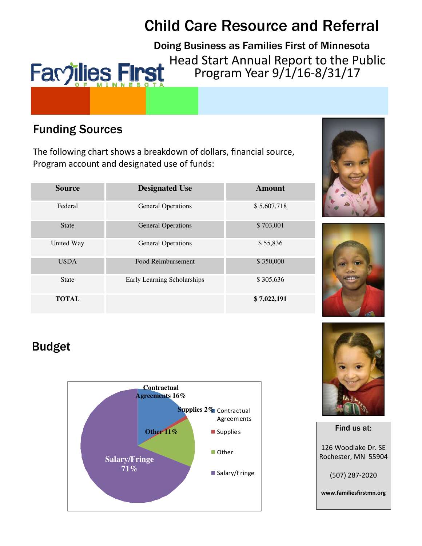# **Child Care Resource and Referral**

Doing Business as Families First of Minnesota Head Start Annual Report to the Public Favjilies First Program Year 9/1/16-8/31/17

# **Funding Sources**

The following chart shows a breakdown of dollars, financial source, Program account and designated use of funds:

| <b>Source</b> | <b>Designated Use</b>       | Amount      |
|---------------|-----------------------------|-------------|
| Federal       | <b>General Operations</b>   | \$5,607,718 |
| <b>State</b>  | <b>General Operations</b>   | \$703,001   |
| United Way    | <b>General Operations</b>   | \$55,836    |
| <b>USDA</b>   | Food Reimbursement          | \$350,000   |
| <b>State</b>  | Early Learning Scholarships | \$305,636   |
| <b>TOTAL</b>  |                             | \$7,022,191 |





# **Budget**







www.familiesfirstmn.org